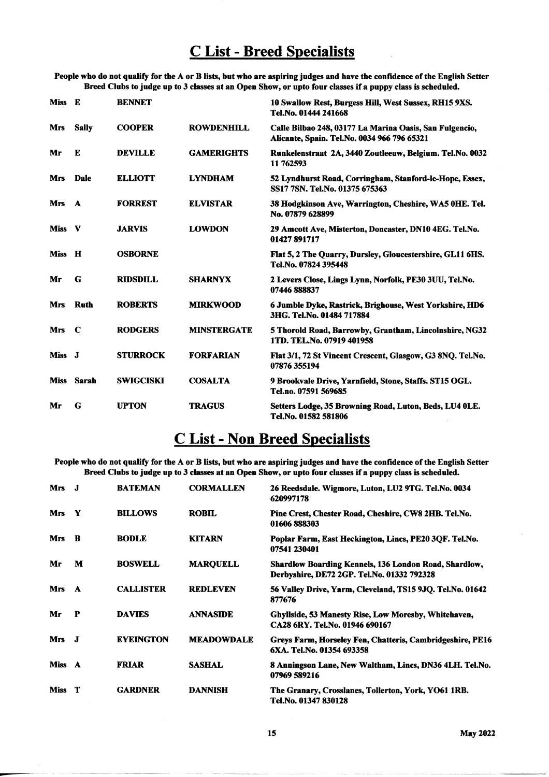## **C List - Breed Specialists**

People who do not qualify for the A or B lists, but who are aspiring judges and have the confidence of the English Setter Breed Clubs to judge up to 3 classes at an Open Show, or upto four classes if a puppy class is scheduled.

| Miss E      |              | <b>BENNET</b>    |                    | 10 Swallow Rest, Burgess Hill, West Sussex, RH15 9XS.<br>Tel.No. 01444 241668                          |
|-------------|--------------|------------------|--------------------|--------------------------------------------------------------------------------------------------------|
| Mrs         | <b>Sally</b> | <b>COOPER</b>    | <b>ROWDENHILL</b>  | Calle Bilbao 248, 03177 La Marina Oasis, San Fulgencio,<br>Alicante, Spain. Tel.No. 0034 966 796 65321 |
| Mr          | E            | <b>DEVILLE</b>   | <b>GAMERIGHTS</b>  | Runkelenstraat 2A, 3440 Zoutleeuw, Belgium. Tel.No. 0032<br>11 762593                                  |
| <b>Mrs</b>  | <b>Dale</b>  | <b>ELLIOTT</b>   | <b>LYNDHAM</b>     | 52 Lyndhurst Road, Corringham, Stanford-le-Hope, Essex,<br>SS17 7SN. Tel.No. 01375 675363              |
| <b>Mrs</b>  | $\mathbf{A}$ | <b>FORREST</b>   | <b>ELVISTAR</b>    | 38 Hodgkinson Ave, Warrington, Cheshire, WA5 0HE. Tel.<br>No. 07879 628899                             |
| <b>Miss</b> | $\mathbf v$  | <b>JARVIS</b>    | <b>LOWDON</b>      | 29 Amcott Ave, Misterton, Doncaster, DN10 4EG. Tel.No.<br>01427 891717                                 |
| Miss H      |              | <b>OSBORNE</b>   |                    | Flat 5, 2 The Quarry, Dursley, Gloucestershire, GL11 6HS.<br>Tel.No. 07824 395448                      |
| Mr          | G            | <b>RIDSDILL</b>  | <b>SHARNYX</b>     | 2 Levers Close, Lings Lynn, Norfolk, PE30 3UU, Tel.No.<br>07446 888837                                 |
| Mrs         | <b>Ruth</b>  | <b>ROBERTS</b>   | <b>MIRKWOOD</b>    | 6 Jumble Dyke, Rastrick, Brighouse, West Yorkshire, HD6<br>3HG. Tel.No. 01484 717884                   |
| <b>Mrs</b>  | $\mathbf C$  | <b>RODGERS</b>   | <b>MINSTERGATE</b> | 5 Thorold Road, Barrowby, Grantham, Lincolnshire, NG32<br>1TD. TEL.No. 07919 401958                    |
| Miss J      |              | <b>STURROCK</b>  | <b>FORFARIAN</b>   | Flat 3/1, 72 St Vincent Crescent, Glasgow, G3 8NQ. Tel.No.<br>07876 355194                             |
|             | Miss Sarah   | <b>SWIGCISKI</b> | <b>COSALTA</b>     | 9 Brookvale Drive, Yarnfield, Stone, Staffs. ST15 OGL.<br>Tel.no. 07591 569685                         |
| Mr          | G            | <b>UPTON</b>     | <b>TRAGUS</b>      | Setters Lodge, 35 Browning Road, Luton, Beds, LU4 OLE.<br>Tel.No. 01582 581806                         |

## **C List - Non Breed Specialists**

People who do not qualify for the A or B lists, but who are aspiring judges and have the confidence of the English Setter Breed Clubs to judge up to 3 classes at an Open Show, or upto four classes if a puppy class is scheduled.

| Mrs J      |          | <b>BATEMAN</b>   | <b>CORMALLEN</b>  | 26 Reedsdale. Wigmore, Luton, LU2 9TG. Tel.No. 0034<br>620997178                                           |
|------------|----------|------------------|-------------------|------------------------------------------------------------------------------------------------------------|
| <b>Mrs</b> | Y        | <b>BILLOWS</b>   | <b>ROBIL</b>      | Pine Crest, Chester Road, Cheshire, CW8 2HB. Tel.No.<br>01606888303                                        |
| <b>Mrs</b> | R        | <b>BODLE</b>     | <b>KITARN</b>     | Poplar Farm, East Heckington, Lincs, PE20 3QF. Tel.No.<br>07541 230401                                     |
| Mr         | М        | <b>BOSWELL</b>   | <b>MARQUELL</b>   | <b>Shardlow Boarding Kennels, 136 London Road, Shardlow,</b><br>Derbyshire, DE72 2GP. Tel.No. 01332 792328 |
| <b>Mrs</b> | <b>A</b> | <b>CALLISTER</b> | <b>REDLEVEN</b>   | 56 Valley Drive, Yarm, Cleveland, TS15 9JO. Tel.No. 01642<br>877676                                        |
| Mr         | P        | <b>DAVIES</b>    | <b>ANNASIDE</b>   | Ghyllside, 53 Manesty Rise, Low Moresby, Whitehaven,<br>CA28 6RY. Tel.No. 01946 690167                     |
| Mrs J      |          | <b>EYEINGTON</b> | <b>MEADOWDALE</b> | Greys Farm, Horseley Fen, Chatteris, Cambridgeshire, PE16<br>6XA. Tel.No. 01354 693358                     |
| Miss A     |          | <b>FRIAR</b>     | <b>SASHAL</b>     | 8 Anningson Lane, New Waltham, Lincs, DN36 4LH. Tel.No.<br>07969 589216                                    |
| Miss T     |          | <b>GARDNER</b>   | DANNISH           | The Granary, Crosslanes, Tollerton, York, YO61 1RB.<br>Tel.No. 01347 830128                                |